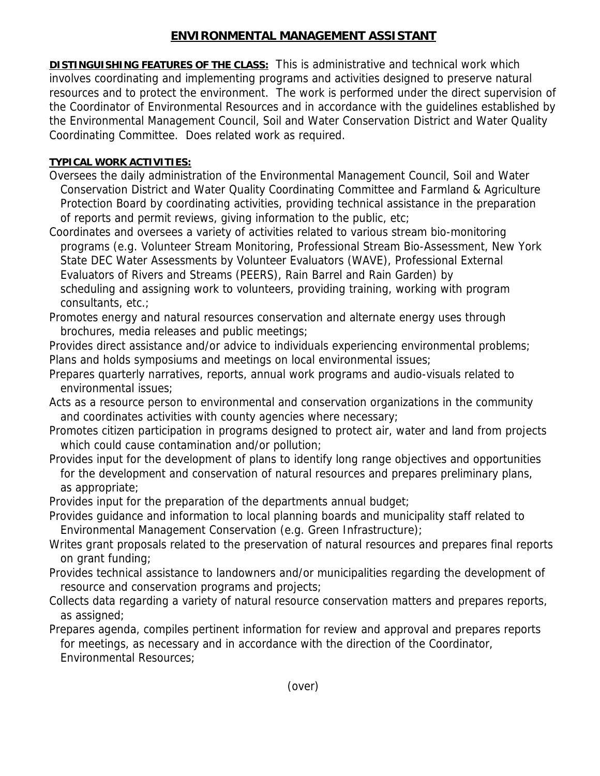## **ENVIRONMENTAL MANAGEMENT ASSISTANT**

**DISTINGUISHING FEATURES OF THE CLASS:** This is administrative and technical work which involves coordinating and implementing programs and activities designed to preserve natural resources and to protect the environment. The work is performed under the direct supervision of the Coordinator of Environmental Resources and in accordance with the guidelines established by the Environmental Management Council, Soil and Water Conservation District and Water Quality Coordinating Committee. Does related work as required.

## **TYPICAL WORK ACTIVITIES:**

- Oversees the daily administration of the Environmental Management Council, Soil and Water Conservation District and Water Quality Coordinating Committee and Farmland & Agriculture Protection Board by coordinating activities, providing technical assistance in the preparation of reports and permit reviews, giving information to the public, etc;
- Coordinates and oversees a variety of activities related to various stream bio-monitoring programs (e.g. Volunteer Stream Monitoring, Professional Stream Bio-Assessment, New York State DEC Water Assessments by Volunteer Evaluators (WAVE), Professional External Evaluators of Rivers and Streams (PEERS), Rain Barrel and Rain Garden) by scheduling and assigning work to volunteers, providing training, working with program consultants, etc.;
- Promotes energy and natural resources conservation and alternate energy uses through brochures, media releases and public meetings;
- Provides direct assistance and/or advice to individuals experiencing environmental problems; Plans and holds symposiums and meetings on local environmental issues;
- Prepares quarterly narratives, reports, annual work programs and audio-visuals related to environmental issues;
- Acts as a resource person to environmental and conservation organizations in the community and coordinates activities with county agencies where necessary;
- Promotes citizen participation in programs designed to protect air, water and land from projects which could cause contamination and/or pollution;
- Provides input for the development of plans to identify long range objectives and opportunities for the development and conservation of natural resources and prepares preliminary plans, as appropriate;
- Provides input for the preparation of the departments annual budget;
- Provides guidance and information to local planning boards and municipality staff related to Environmental Management Conservation (e.g. Green Infrastructure);
- Writes grant proposals related to the preservation of natural resources and prepares final reports on grant funding;
- Provides technical assistance to landowners and/or municipalities regarding the development of resource and conservation programs and projects;
- Collects data regarding a variety of natural resource conservation matters and prepares reports, as assigned;
- Prepares agenda, compiles pertinent information for review and approval and prepares reports for meetings, as necessary and in accordance with the direction of the Coordinator, Environmental Resources;